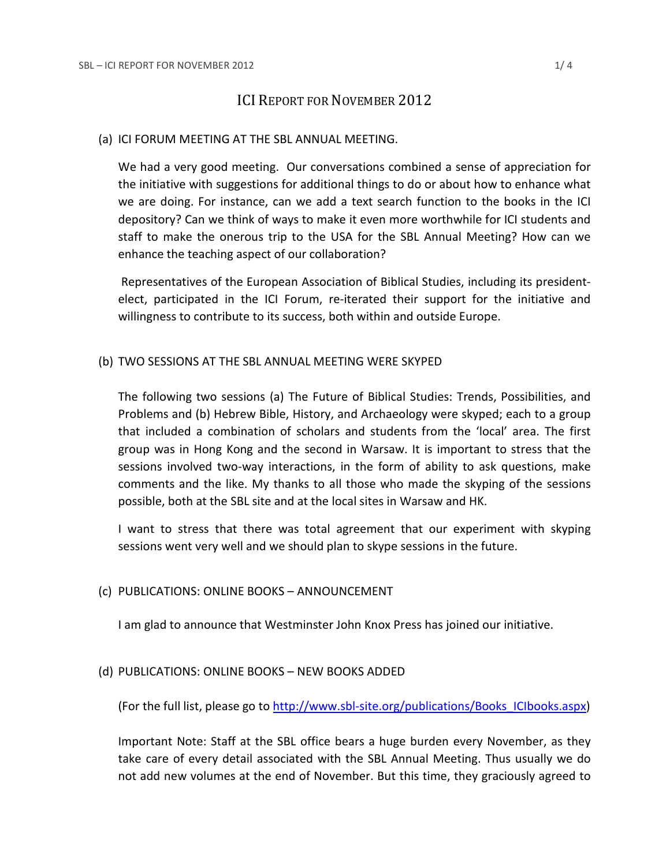# ICI REPORT FOR NOVEMBER 2012

#### (a) ICI FORUM MEETING AT THE SBL ANNUAL MEETING.

We had a very good meeting. Our conversations combined a sense of appreciation for the initiative with suggestions for additional things to do or about how to enhance what we are doing. For instance, can we add a text search function to the books in the ICI depository? Can we think of ways to make it even more worthwhile for ICI students and staff to make the onerous trip to the USA for the SBL Annual Meeting? How can we enhance the teaching aspect of our collaboration?

Representatives of the European Association of Biblical Studies, including its presidentelect, participated in the ICI Forum, re-iterated their support for the initiative and willingness to contribute to its success, both within and outside Europe.

#### (b) TWO SESSIONS AT THE SBL ANNUAL MEETING WERE SKYPED

The following two sessions (a) The Future of Biblical Studies: Trends, Possibilities, and Problems and (b) Hebrew Bible, History, and Archaeology were skyped; each to a group that included a combination of scholars and students from the 'local' area. The first group was in Hong Kong and the second in Warsaw. It is important to stress that the sessions involved two-way interactions, in the form of ability to ask questions, make comments and the like. My thanks to all those who made the skyping of the sessions possible, both at the SBL site and at the local sites in Warsaw and HK.

I want to stress that there was total agreement that our experiment with skyping sessions went very well and we should plan to skype sessions in the future.

## (c) PUBLICATIONS: ONLINE BOOKS – ANNOUNCEMENT

I am glad to announce that Westminster John Knox Press has joined our initiative.

## (d) PUBLICATIONS: ONLINE BOOKS – NEW BOOKS ADDED

(For the full list, please go to [http://www.sbl-site.org/publications/Books\\_ICIbooks.aspx\)](http://www.sbl-site.org/publications/Books_ICIbooks.aspx)

Important Note: Staff at the SBL office bears a huge burden every November, as they take care of every detail associated with the SBL Annual Meeting. Thus usually we do not add new volumes at the end of November. But this time, they graciously agreed to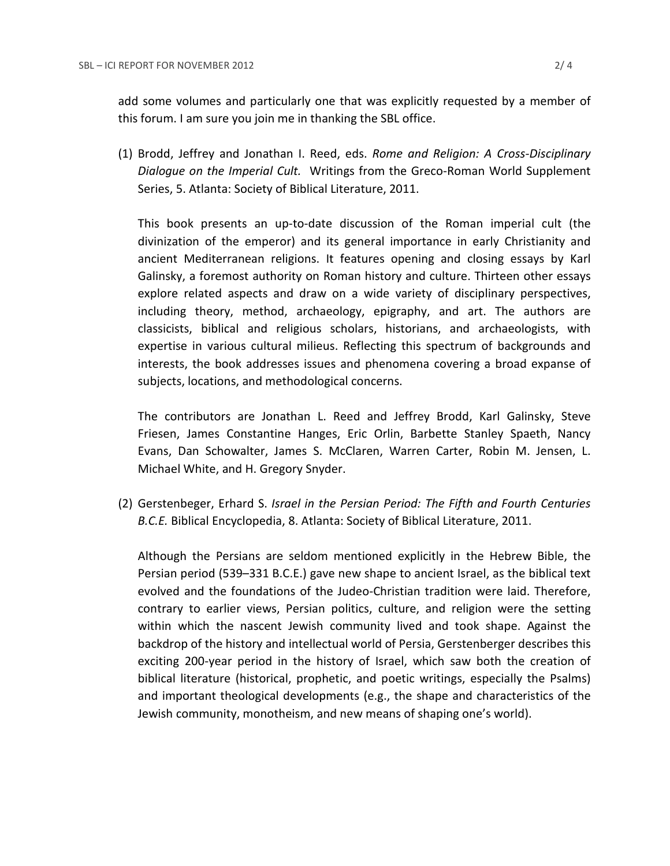add some volumes and particularly one that was explicitly requested by a member of this forum. I am sure you join me in thanking the SBL office.

(1) Brodd, Jeffrey and Jonathan I. Reed, eds. *Rome and Religion: A Cross-Disciplinary Dialogue on the Imperial Cult.* Writings from the Greco-Roman World Supplement Series, 5. Atlanta: Society of Biblical Literature, 2011.

This book presents an up-to-date discussion of the Roman imperial cult (the divinization of the emperor) and its general importance in early Christianity and ancient Mediterranean religions. It features opening and closing essays by Karl Galinsky, a foremost authority on Roman history and culture. Thirteen other essays explore related aspects and draw on a wide variety of disciplinary perspectives, including theory, method, archaeology, epigraphy, and art. The authors are classicists, biblical and religious scholars, historians, and archaeologists, with expertise in various cultural milieus. Reflecting this spectrum of backgrounds and interests, the book addresses issues and phenomena covering a broad expanse of subjects, locations, and methodological concerns.

The contributors are Jonathan L. Reed and Jeffrey Brodd, Karl Galinsky, Steve Friesen, James Constantine Hanges, Eric Orlin, Barbette Stanley Spaeth, Nancy Evans, Dan Schowalter, James S. McClaren, Warren Carter, Robin M. Jensen, L. Michael White, and H. Gregory Snyder.

(2) Gerstenbeger, Erhard S. *Israel in the Persian Period: The Fifth and Fourth Centuries B.C.E.* Biblical Encyclopedia, 8. Atlanta: Society of Biblical Literature, 2011.

Although the Persians are seldom mentioned explicitly in the Hebrew Bible, the Persian period (539–331 B.C.E.) gave new shape to ancient Israel, as the biblical text evolved and the foundations of the Judeo-Christian tradition were laid. Therefore, contrary to earlier views, Persian politics, culture, and religion were the setting within which the nascent Jewish community lived and took shape. Against the backdrop of the history and intellectual world of Persia, Gerstenberger describes this exciting 200-year period in the history of Israel, which saw both the creation of biblical literature (historical, prophetic, and poetic writings, especially the Psalms) and important theological developments (e.g., the shape and characteristics of the Jewish community, monotheism, and new means of shaping one's world).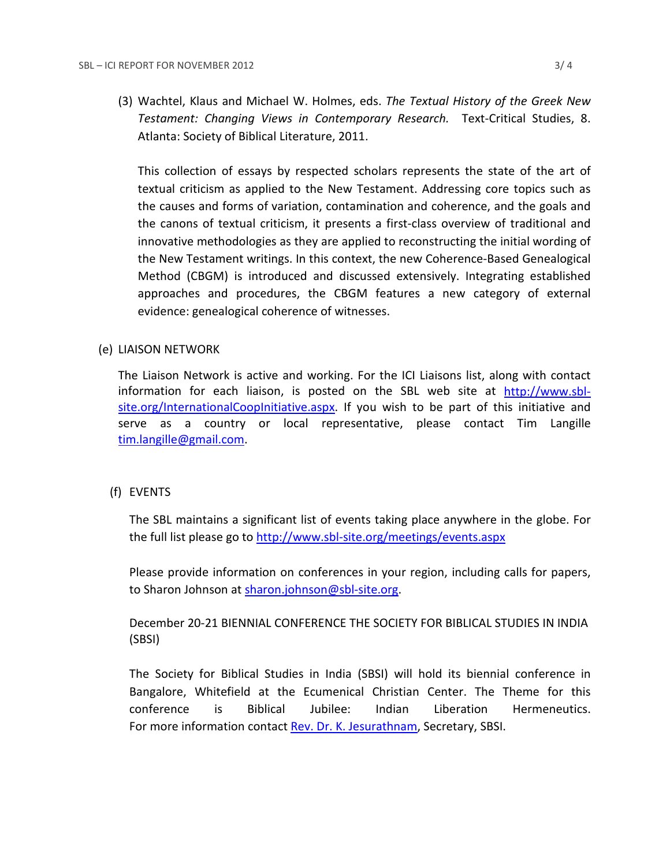(3) Wachtel, Klaus and Michael W. Holmes, eds. *The Textual History of the Greek New Testament: Changing Views in Contemporary Research.* Text-Critical Studies, 8. Atlanta: Society of Biblical Literature, 2011.

This collection of essays by respected scholars represents the state of the art of textual criticism as applied to the New Testament. Addressing core topics such as the causes and forms of variation, contamination and coherence, and the goals and the canons of textual criticism, it presents a first-class overview of traditional and innovative methodologies as they are applied to reconstructing the initial wording of the New Testament writings. In this context, the new Coherence-Based Genealogical Method (CBGM) is introduced and discussed extensively. Integrating established approaches and procedures, the CBGM features a new category of external evidence: genealogical coherence of witnesses.

## (e) LIAISON NETWORK

The Liaison Network is active and working. For the ICI Liaisons list, along with contact information for each liaison, is posted on the SBL web site at [http://www.sbl](http://www.sbl-site.org/InternationalCoopInitiative.aspx)[site.org/InternationalCoopInitiative.aspx.](http://www.sbl-site.org/InternationalCoopInitiative.aspx) If you wish to be part of this initiative and serve as a country or local representative, please contact Tim Langille [tim.langille@gmail.com.](mailto:tim.langille@gmail.com)

## (f) EVENTS

The SBL maintains a significant list of events taking place anywhere in the globe. For the full list please go to<http://www.sbl-site.org/meetings/events.aspx>

Please provide information on conferences in your region, including calls for papers, to Sharon Johnson at [sharon.johnson@sbl-site.org.](mailto:sharon.johnson@sbl-site.org)

December 20-21 BIENNIAL CONFERENCE THE SOCIETY FOR BIBLICAL STUDIES IN INDIA (SBSI)

The Society for Biblical Studies in India (SBSI) will hold its biennial conference in Bangalore, Whitefield at the Ecumenical Christian Center. The Theme for this conference is Biblical Jubilee: Indian Liberation Hermeneutics. For more information contact [Rev. Dr. K. Jesurathnam,](mailto:%20%20%20%20%20%20%20%20%20%20%20%20%20%20%20%20%20%20%20%20%20%20%20%20jesu.rathnam@gmail.com) Secretary, SBSI.